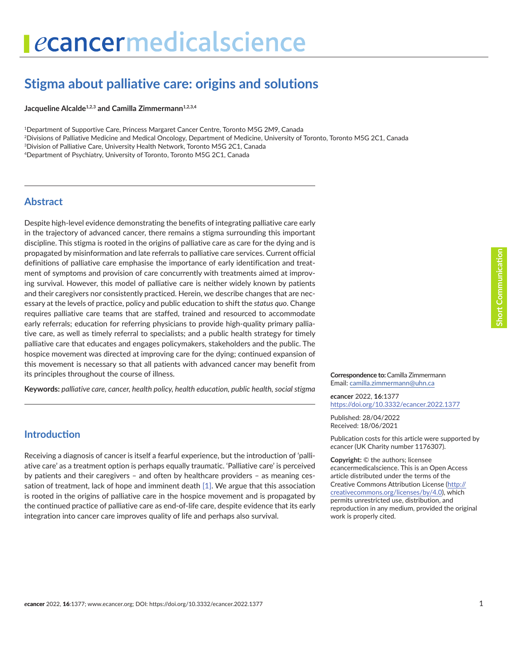# ecancermedicalscience

# **Stigma about palliative care: origins and solutions**

Jacqueline Alcalde<sup>1,2,3</sup> and Camilla Zimmermann<sup>1,2,3,4</sup>

1Department of Supportive Care, Princess Margaret Cancer Centre, Toronto M5G 2M9, Canada

2Divisions of Palliative Medicine and Medical Oncology, Department of Medicine, University of Toronto, Toronto M5G 2C1, Canada

3Division of Palliative Care, University Health Network, Toronto M5G 2C1, Canada

4Department of Psychiatry, University of Toronto, Toronto M5G 2C1, Canada

#### **Abstract**

Despite high-level evidence demonstrating the benefits of integrating palliative care early in the trajectory of advanced cancer, there remains a stigma surrounding this important discipline. This stigma is rooted in the origins of palliative care as care for the dying and is propagated by misinformation and late referrals to palliative care services. Current official definitions of palliative care emphasise the importance of early identification and treatment of symptoms and provision of care concurrently with treatments aimed at improving survival. However, this model of palliative care is neither widely known by patients and their caregivers nor consistently practiced. Herein, we describe changes that are necessary at the levels of practice, policy and public education to shift the *status quo*. Change requires palliative care teams that are staffed, trained and resourced to accommodate early referrals; education for referring physicians to provide high-quality primary palliative care, as well as timely referral to specialists; and a public health strategy for timely palliative care that educates and engages policymakers, stakeholders and the public. The hospice movement was directed at improving care for the dying; continued expansion of this movement is necessary so that all patients with advanced cancer may benefit from its principles throughout the course of illness.

**Keywords:** *palliative care, cancer, health policy, health education, public health, social stigma*

#### **Introduction**

Receiving a diagnosis of cancer is itself a fearful experience, but the introduction of 'palliative care' as a treatment option is perhaps equally traumatic. 'Palliative care' is perceived by patients and their caregivers – and often by healthcare providers – as meaning cessation of treatment, lack of hope and imminent death [\[1\]](#page-3-0). We argue that this association is rooted in the origins of palliative care in the hospice movement and is propagated by the continued practice of palliative care as end-of-life care, despite evidence that its early integration into cancer care improves quality of life and perhaps also survival.

**Correspondence to:**Camilla Zimmermann Email: [camilla.zimmermann@uhn.ca](mailto:camilla.zimmermann@uhn.ca)

*e***cancer** 2022, **16**:1377 [https://doi.org/10.3332/ecancer.2022.137](https://doi.org/10.3332/ecancer.2022.1377)7

Published: 28/04/2022 Received: 18/06/2021

Publication costs for this article were supported by *e*cancer (UK Charity number 1176307).

**Copyright:** © the authors; licensee *e*cancermedicalscience. This is an Open Access article distributed under the terms of the Creative Commons Attribution License (http:// creativecommons.org/licenses/by/4.0), which permits unrestricted use, distribution, and reproduction in any medium, provided the original work is properly cited.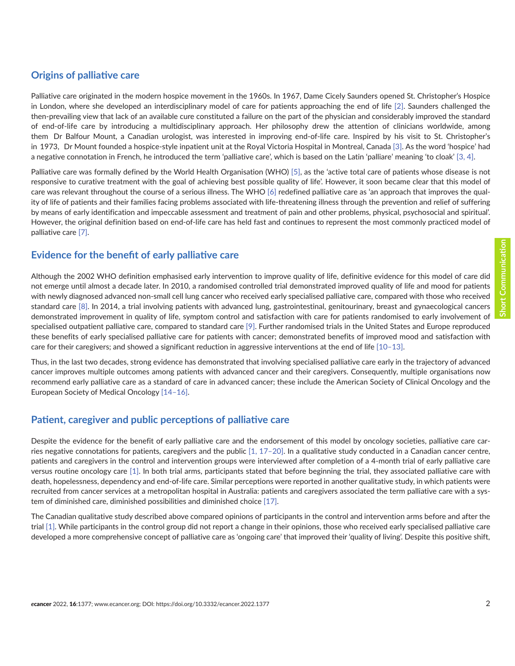#### **Origins of palliative care**

Palliative care originated in the modern hospice movement in the 1960s. In 1967, Dame Cicely Saunders opened St. Christopher's Hospice in London, where she developed an interdisciplinary model of care for patients approaching the end of life [\[2\].](#page-3-0) Saunders challenged the then-prevailing view that lack of an available cure constituted a failure on the part of the physician and considerably improved the standard of end-of-life care by introducing a multidisciplinary approach. Her philosophy drew the attention of clinicians worldwide, among them Dr Balfour Mount, a Canadian urologist, was interested in improving end-of-life care. Inspired by his visit to St. Christopher's in 1973, Dr Mount founded a hospice-style inpatient unit at the Royal Victoria Hospital in Montreal, Canada [\[3\]](#page-3-0). As the word 'hospice' had a negative connotation in French, he introduced the term 'palliative care', which is based on the Latin 'palliare' meaning 'to cloak' [\[3, 4\]](#page-3-0).

Palliative care was formally defined by the World Health Organisation (WHO) [\[5\]](#page-3-0), as the 'active total care of patients whose disease is not responsive to curative treatment with the goal of achieving best possible quality of life'. However, it soon became clear that this model of care was relevant throughout the course of a serious illness. The WHO  $[6]$  redefined palliative care as 'an approach that improves the quality of life of patients and their families facing problems associated with life-threatening illness through the prevention and relief of suffering by means of early identification and impeccable assessment and treatment of pain and other problems, physical, psychosocial and spiritual'. However, the original definition based on end-of-life care has held fast and continues to represent the most commonly practiced model of palliative care [\[7\].](#page-4-0)

#### **Evidence for the benefit of early palliative care**

Although the 2002 WHO definition emphasised early intervention to improve quality of life, definitive evidence for this model of care did not emerge until almost a decade later. In 2010, a randomised controlled trial demonstrated improved quality of life and mood for patients with newly diagnosed advanced non-small cell lung cancer who received early specialised palliative care, compared with those who received standard care [\[8\]](#page-4-0). In 2014, a trial involving patients with advanced lung, gastrointestinal, genitourinary, breast and gynaecological cancers demonstrated improvement in quality of life, symptom control and satisfaction with care for patients randomised to early involvement of specialised outpatient palliative care, compared to standard care [\[9\]](#page-4-0). Further randomised trials in the United States and Europe reproduced these benefits of early specialised palliative care for patients with cancer; demonstrated benefits of improved mood and satisfaction with care for their caregivers; and showed a significant reduction in aggressive interventions at the end of life [\[10–13\]](#page-4-0).

Thus, in the last two decades, strong evidence has demonstrated that involving specialised palliative care early in the trajectory of advanced cancer improves multiple outcomes among patients with advanced cancer and their caregivers. Consequently, multiple organisations now recommend early palliative care as a standard of care in advanced cancer; these include the American Society of Clinical Oncology and the European Society of Medical Oncology [\[14–16\]](#page-4-0).

#### **Patient, caregiver and public perceptions of palliative care**

Despite the evidence for the benefit of early palliative care and the endorsement of this model by oncology societies, palliative care carries negative connotations for patients, caregivers and the public [\[1,](#page-3-0) [17–20\]](#page-4-0). In a qualitative study conducted in a Canadian cancer centre, patients and caregivers in the control and intervention groups were interviewed after completion of a 4-month trial of early palliative care versus routine oncology care [\[1\]](#page-3-0). In both trial arms, participants stated that before beginning the trial, they associated palliative care with death, hopelessness, dependency and end-of-life care. Similar perceptions were reported in another qualitative study, in which patients were recruited from cancer services at a metropolitan hospital in Australia: patients and caregivers associated the term palliative care with a system of diminished care, diminished possibilities and diminished choice [\[17\]](#page-4-0).

The Canadian qualitative study described above compared opinions of participants in the control and intervention arms before and after the trial [\[1\]](#page-3-0). While participants in the control group did not report a change in their opinions, those who received early specialised palliative care developed a more comprehensive concept of palliative care as 'ongoing care' that improved their 'quality of living'. Despite this positive shift,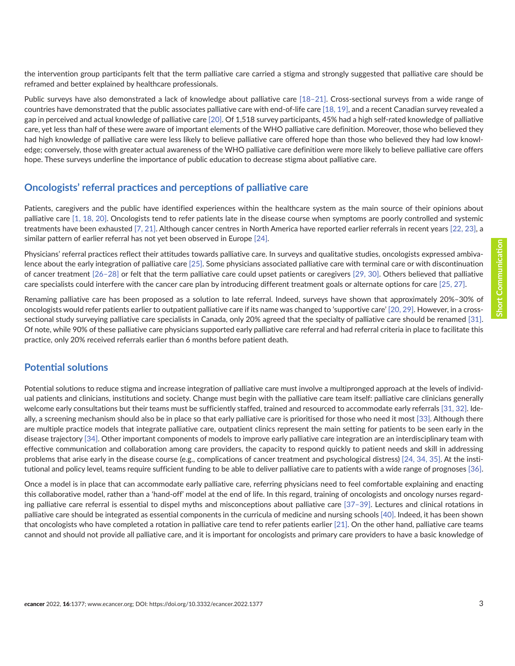Public surveys have also demonstrated a lack of knowledge about palliative care [\[18–21\].](#page-4-0) Cross-sectional surveys from a wide range of countries have demonstrated that the public associates palliative care with end-of-life care [\[18, 19\]](#page-4-0), and a recent Canadian survey revealed a gap in perceived and actual knowledge of palliative care [\[20\].](#page-4-0) Of 1,518 survey participants, 45% had a high self-rated knowledge of palliative care, yet less than half of these were aware of important elements of the WHO palliative care definition. Moreover, those who believed they had high knowledge of palliative care were less likely to believe palliative care offered hope than those who believed they had low knowledge; conversely, those with greater actual awareness of the WHO palliative care definition were more likely to believe palliative care offers hope. These surveys underline the importance of public education to decrease stigma about palliative care.

#### **Oncologists' referral practices and perceptions of palliative care**

Patients, caregivers and the public have identified experiences within the healthcare system as the main source of their opinions about palliative care [\[1,](#page-3-0) [18,](#page-4-0) [20\].](#page-4-0) Oncologists tend to refer patients late in the disease course when symptoms are poorly controlled and systemic treatments have been exhausted [\[7, 21\]](#page-4-0). Although cancer centres in North America have reported earlier referrals in recent years [\[22, 23\]](#page-4-0), a similar pattern of earlier referral has not yet been observed in Europe [\[24\]](#page-4-0).

Physicians' referral practices reflect their attitudes towards palliative care. In surveys and qualitative studies, oncologists expressed ambivalence about the early integration of palliative care [\[25\].](#page-5-0) Some physicians associated palliative care with terminal care or with discontinuation of cancer treatment [\[26–28\]](#page-5-0) or felt that the term palliative care could upset patients or caregivers [\[29, 30\].](#page-5-0) Others believed that palliative care specialists could interfere with the cancer care plan by introducing different treatment goals or alternate options for care [\[25, 27\]](#page-5-0).

Renaming palliative care has been proposed as a solution to late referral. Indeed, surveys have shown that approximately 20%–30% of oncologists would refer patients earlier to outpatient palliative care if its name was changed to 'supportive care' [\[20,](#page-4-0) [29\]](#page-5-0). However, in a crosssectional study surveying palliative care specialists in Canada, only 20% agreed that the specialty of palliative care should be renamed [\[31\].](#page-5-0) Of note, while 90% of these palliative care physicians supported early palliative care referral and had referral criteria in place to facilitate this practice, only 20% received referrals earlier than 6 months before patient death.

#### **Potential solutions**

Potential solutions to reduce stigma and increase integration of palliative care must involve a multipronged approach at the levels of individual patients and clinicians, institutions and society. Change must begin with the palliative care team itself: palliative care clinicians generally welcome early consultations but their teams must be sufficiently staffed, trained and resourced to accommodate early referrals [\[31, 32\]](#page-5-0). Ideally, a screening mechanism should also be in place so that early palliative care is prioritised for those who need it most [\[33\]](#page-5-0). Although there are multiple practice models that integrate palliative care, outpatient clinics represent the main setting for patients to be seen early in the disease trajectory [\[34\]](#page-5-0). Other important components of models to improve early palliative care integration are an interdisciplinary team with effective communication and collaboration among care providers, the capacity to respond quickly to patient needs and skill in addressing problems that arise early in the disease course (e.g., complications of cancer treatment and psychological distress) [\[24,](#page-4-0) [34,](#page-5-0) [35\].](#page-5-0) At the institutional and policy level, teams require sufficient funding to be able to deliver palliative care to patients with a wide range of prognoses [\[36\].](#page-5-0)

Once a model is in place that can accommodate early palliative care, referring physicians need to feel comfortable explaining and enacting this collaborative model, rather than a 'hand-off' model at the end of life. In this regard, training of oncologists and oncology nurses regarding palliative care referral is essential to dispel myths and misconceptions about palliative care [\[37–39\].](#page-5-0) Lectures and clinical rotations in palliative care should be integrated as essential components in the curricula of medicine and nursing schools [\[40\].](#page-5-0) Indeed, it has been shown that oncologists who have completed a rotation in palliative care tend to refer patients earlier [\[21\]](#page-4-0). On the other hand, palliative care teams cannot and should not provide all palliative care, and it is important for oncologists and primary care providers to have a basic knowledge of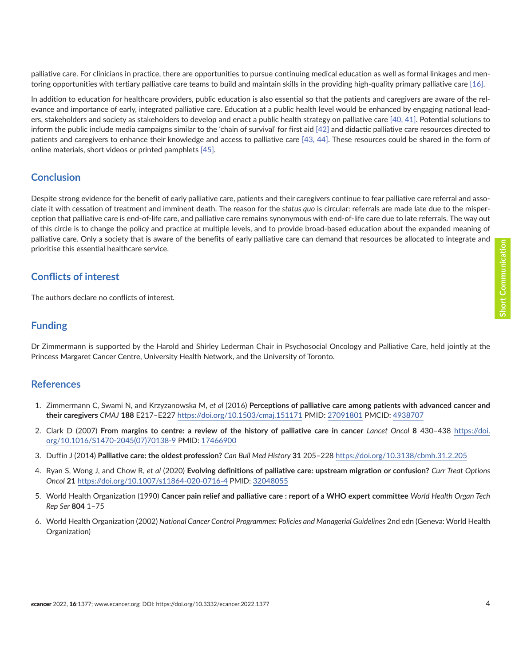<span id="page-3-0"></span>palliative care. For clinicians in practice, there are opportunities to pursue continuing medical education as well as formal linkages and mentoring opportunities with tertiary palliative care teams to build and maintain skills in the providing high-quality primary palliative care [\[16\].](#page-4-0)

In addition to education for healthcare providers, public education is also essential so that the patients and caregivers are aware of the relevance and importance of early, integrated palliative care. Education at a public health level would be enhanced by engaging national leaders, stakeholders and society as stakeholders to develop and enact a public health strategy on palliative care [\[40,](#page-5-0) [41\].](#page-5-0) Potential solutions to inform the public include media campaigns similar to the 'chain of survival' for first aid [\[42\]](#page-5-0) and didactic palliative care resources directed to patients and caregivers to enhance their knowledge and access to palliative care [\[43,](#page-6-0) [44\]](#page-6-0). These resources could be shared in the form of online materials, short videos or printed pamphlets [\[45\]](#page-6-0).

#### **Conclusion**

Despite strong evidence for the benefit of early palliative care, patients and their caregivers continue to fear palliative care referral and associate it with cessation of treatment and imminent death. The reason for the *status quo* is circular: referrals are made late due to the misperception that palliative care is end-of-life care, and palliative care remains synonymous with end-of-life care due to late referrals. The way out of this circle is to change the policy and practice at multiple levels, and to provide broad-based education about the expanded meaning of palliative care. Only a society that is aware of the benefits of early palliative care can demand that resources be allocated to integrate and prioritise this essential healthcare service.

# **Conflicts of interest**

The authors declare no conflicts of interest.

## **Funding**

Dr Zimmermann is supported by the Harold and Shirley Lederman Chair in Psychosocial Oncology and Palliative Care, held jointly at the Princess Margaret Cancer Centre, University Health Network, and the University of Toronto.

### **References**

- 1. Zimmermann C, Swami N, and Krzyzanowska M, *et al* (2016) **Perceptions of palliative care among patients with advanced cancer and their caregivers** *CMAJ* **188** E217–E227<https://doi.org/10.1503/cmaj.151171>PMID: [27091801](http://www.ncbi.nlm.nih.gov/pubmed/27091801) PMCID: [4938707](http://www.ncbi.nlm.nih.gov/pmc/articles/PMC4938707)
- 2. Clark D (2007) **From margins to centre: a review of the history of palliative care in cancer** *Lancet Oncol* **8** 430–438 [https://doi.](https://doi.org/10.1016/S1470-2045(07)70138-9) [org/10.1016/S1470-2045\(07\)70138-9](https://doi.org/10.1016/S1470-2045(07)70138-9) PMID: [17466900](http://www.ncbi.nlm.nih.gov/pubmed/17466900)
- 3. Duffin J (2014) **Palliative care: the oldest profession?** *Can Bull Med History* **31** 205–228<https://doi.org/10.3138/cbmh.31.2.205>
- 4. Ryan S, Wong J, and Chow R, *et al* (2020) **Evolving definitions of palliative care: upstream migration or confusion?** *Curr Treat Options Oncol* **21** <https://doi.org/10.1007/s11864-020-0716-4>PMID: [32048055](http://www.ncbi.nlm.nih.gov/pubmed/32048055)
- 5. World Health Organization (1990) **Cancer pain relief and palliative care : report of a WHO expert committee** *World Health Organ Tech Rep Ser* **804** 1–75
- 6. World Health Organization (2002) *National Cancer Control Programmes: Policies and Managerial Guidelines* 2nd edn (Geneva: World Health Organization)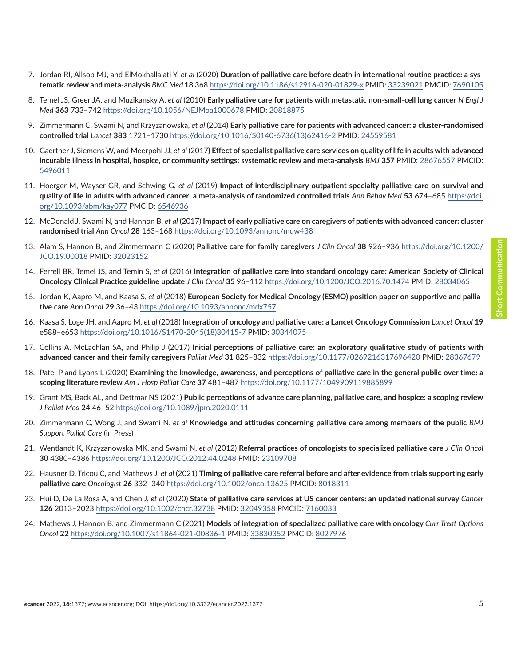- <span id="page-4-0"></span>7. Jordan RI, Allsop MJ, and ElMokhallalati Y, *et al* (2020) **Duration of palliative care before death in international routine practice: a systematic review and meta-analysis** *BMC Med* **18** 368<https://doi.org/10.1186/s12916-020-01829-x> PMID: [33239021](http://www.ncbi.nlm.nih.gov/pubmed/33239021) PMCID: [7690105](http://www.ncbi.nlm.nih.gov/pmc/articles/PMC7690105)
- 8. Temel JS, Greer JA, and Muzikansky A, *et al* (2010) **Early palliative care for patients with metastatic non-small-cell lung cancer** *N Engl J Med* **363** 733–742 <https://doi.org/10.1056/NEJMoa1000678> PMID: [20818875](http://www.ncbi.nlm.nih.gov/pubmed/20818875)
- 9. Zimmermann C, Swami N, and Krzyzanowska, *et al* (2014) **Early palliative care for patients with advanced cancer: a cluster-randomised controlled trial** *Lancet* **383** 1721–1730 [https://doi.org/10.1016/S0140-6736\(13\)62416-2](https://doi.org/10.1016/S0140-6736(13)62416-2) PMID: [24559581](http://www.ncbi.nlm.nih.gov/pubmed/24559581)
- 10. Gaertner J, Siemens W, and Meerpohl JJ, *et al* (2017**) Effect of specialist palliative care services on quality of life in adults with advanced incurable illness in hospital, hospice, or community settings: systematic review and meta-analysis** *BMJ* **357** PMID: [28676557](http://www.ncbi.nlm.nih.gov/pubmed/28676557) PMCID: [5496011](http://www.ncbi.nlm.nih.gov/pmc/articles/PMC5496011)
- 11. Hoerger M, Wayser GR, and Schwing G, *et al* (2019) **Impact of interdisciplinary outpatient specialty palliative care on survival and quality of life in adults with advanced cancer: a meta-analysis of randomized controlled trials** *Ann Behav Med* **53** 674–685 [https://doi.](https://doi.org/10.1093/abm/kay077) [org/10.1093/abm/kay077](https://doi.org/10.1093/abm/kay077) PMCID: [6546936](http://www.ncbi.nlm.nih.gov/pmc/articles/PMC6546936)
- 12. McDonald J, Swami N, and Hannon B, *et al* (2017) **Impact of early palliative care on caregivers of patients with advanced cancer: cluster randomised trial** *Ann Oncol* **28** 163–168 <https://doi.org/10.1093/annonc/mdw438>
- 13. Alam S, Hannon B, and Zimmermann C (2020) **Palliative care for family caregivers** *J Clin Oncol* **38** 926–936 [https://doi.org/10.1200/](https://doi.org/10.1200/JCO.19.00018) [JCO.19.00018](https://doi.org/10.1200/JCO.19.00018) PMID: [32023152](http://www.ncbi.nlm.nih.gov/pubmed/32023152)
- 14. Ferrell BR, Temel JS, and Temin S, *et al* (2016) **Integration of palliative care into standard oncology care: American Society of Clinical Oncology Clinical Practice guideline update** *J Clin Oncol* **35** 96–112<https://doi.org/10.1200/JCO.2016.70.1474> PMID: [28034065](http://www.ncbi.nlm.nih.gov/pubmed/28034065)
- 15. Jordan K, Aapro M, and Kaasa S, *et al* (2018) **European Society for Medical Oncology (ESMO) position paper on supportive and palliative care** *Ann Oncol* **29** 36–43<https://doi.org/10.1093/annonc/mdx757>
- 16. Kaasa S, Loge JH, and Aapro M, *et al* (2018) **Integration of oncology and palliative care: a Lancet Oncology Commission** *Lancet Oncol* **19** e588–e653 [https://doi.org/10.1016/S1470-2045\(18\)30415-7](https://doi.org/10.1016/S1470-2045(18)30415-7) PMID: [30344075](http://www.ncbi.nlm.nih.gov/pubmed/30344075)
- 17. Collins A, McLachlan SA, and Philip J (2017) **Initial perceptions of palliative care: an exploratory qualitative study of patients with advanced cancer and their family caregivers** *Palliat Med* **31** 825–832 <https://doi.org/10.1177/0269216317696420>PMID: [28367679](http://www.ncbi.nlm.nih.gov/pubmed/28367679)
- 18. Patel P and Lyons L (2020) **Examining the knowledge, awareness, and perceptions of palliative care in the general public over time: a scoping literature review** *Am J Hosp Palliat Care* **37** 481–487<https://doi.org/10.1177/1049909119885899>
- 19. Grant MS, Back AL, and Dettmar NS (2021) **Public perceptions of advance care planning, palliative care, and hospice: a scoping review** *J Palliat Med* **24** 46–52 <https://doi.org/10.1089/jpm.2020.0111>
- 20. Zimmermann C, Wong J, and Swami N, *et al* **Knowledge and attitudes concerning palliative care among members of the public** *BMJ Support Palliat Care* (in Press)
- 21. Wentlandt K, Krzyzanowska MK, and Swami N, *et al* (2012) **Referral practices of oncologists to specialized palliative care** *J Clin Oncol*  **30** 4380–4386<https://doi.org/10.1200/JCO.2012.44.0248> PMID: [23109708](http://www.ncbi.nlm.nih.gov/pubmed/23109708)
- 22. Hausner D, Tricou C, and Mathews J, *et al* (2021) **Timing of palliative care referral before and after evidence from trials supporting early palliative care** *Oncologist* **26** 332–340<https://doi.org/10.1002/onco.13625>PMCID: [8018311](http://www.ncbi.nlm.nih.gov/pmc/articles/PMC8018311)
- 23. Hui D, De La Rosa A, and Chen J, *et al* (2020) **State of palliative care services at US cancer centers: an updated national survey** *Cancer* **126** 2013–2023<https://doi.org/10.1002/cncr.32738>PMID: [32049358](http://www.ncbi.nlm.nih.gov/pubmed/32049358) PMCID: [7160033](http://www.ncbi.nlm.nih.gov/pmc/articles/PMC7160033)
- 24. Mathews J, Hannon B, and Zimmermann C (2021) **Models of integration of specialized palliative care with oncology** *Curr Treat Options Oncol* **22** <https://doi.org/10.1007/s11864-021-00836-1> PMID: [33830352](http://www.ncbi.nlm.nih.gov/pubmed/33830352) PMCID: [8027976](http://www.ncbi.nlm.nih.gov/pmc/articles/PMC8027976)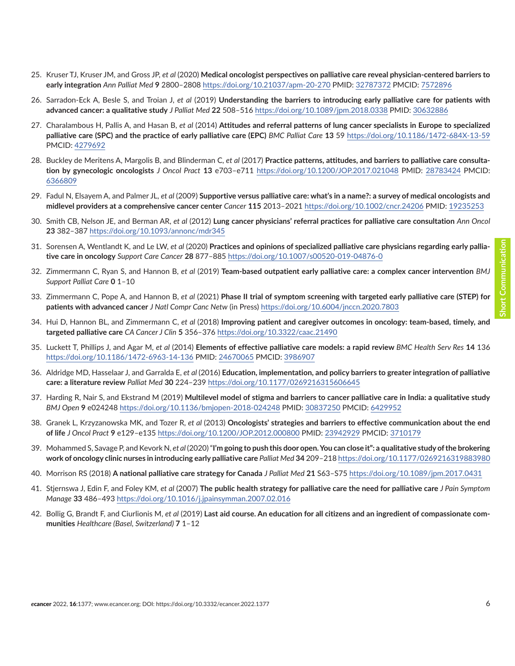- <span id="page-5-0"></span>25. Kruser TJ, Kruser JM, and Gross JP, *et al* (2020) **Medical oncologist perspectives on palliative care reveal physician-centered barriers to early integration** *Ann Palliat Med* **9** 2800–2808<https://doi.org/10.21037/apm-20-270> PMID: [32787372](http://www.ncbi.nlm.nih.gov/pubmed/32787372) PMCID: [7572896](http://www.ncbi.nlm.nih.gov/pmc/articles/PMC7572896)
- 26. Sarradon-Eck A, Besle S, and Troian J, *et al* (2019) **Understanding the barriers to introducing early palliative care for patients with advanced cancer: a qualitative study** *J Palliat Med* **22** 508–516<https://doi.org/10.1089/jpm.2018.0338> PMID: [30632886](http://www.ncbi.nlm.nih.gov/pubmed/30632886)
- 27. Charalambous H, Pallis A, and Hasan B, *et al* (2014) **Attitudes and referral patterns of lung cancer specialists in Europe to specialized palliative care (SPC) and the practice of early palliative care (EPC)** *BMC Palliat Care* **13** 59 <https://doi.org/10.1186/1472-684X-13-59> PMCID: [4279692](http://www.ncbi.nlm.nih.gov/pmc/articles/PMC4279692)
- 28. Buckley de Meritens A, Margolis B, and Blinderman C, *et al* (2017) **Practice patterns, attitudes, and barriers to palliative care consultation by gynecologic oncologists** *J Oncol Pract* **13** e703–e711 <https://doi.org/10.1200/JOP.2017.021048> PMID: [28783424](http://www.ncbi.nlm.nih.gov/pubmed/28783424) PMCID: [6366809](http://www.ncbi.nlm.nih.gov/pmc/articles/PMC6366809)
- 29. Fadul N, Elsayem A, and Palmer JL, *et al* (2009) **Supportive versus palliative care: what's in a name?: a survey of medical oncologists and midlevel providers at a comprehensive cancer center** *Cancer* **115** 2013–2021<https://doi.org/10.1002/cncr.24206>PMID: [19235253](http://www.ncbi.nlm.nih.gov/pubmed/19235253)
- 30. Smith CB, Nelson JE, and Berman AR, *et al* (2012) **Lung cancer physicians' referral practices for palliative care consultation** *Ann Oncol* **23** 382–387 <https://doi.org/10.1093/annonc/mdr345>
- 31. Sorensen A, Wentlandt K, and Le LW, *et al* (2020) **Practices and opinions of specialized palliative care physicians regarding early palliative care in oncology** *Support Care Cancer* **28** 877–885<https://doi.org/10.1007/s00520-019-04876-0>
- 32. Zimmermann C, Ryan S, and Hannon B, *et al* (2019) **Team-based outpatient early palliative care: a complex cancer intervention** *BMJ Support Palliat Care* **0** 1–10
- 33. Zimmermann C, Pope A, and Hannon B, *et al* (2021) **Phase II trial of symptom screening with targeted early palliative care (STEP) for patients with advanced cancer** *J Natl Compr Canc Netw* (in Press)<https://doi.org/10.6004/jnccn.2020.7803>
- 34. Hui D, Hannon BL, and Zimmermann C, *et al* (2018) **Improving patient and caregiver outcomes in oncology: team-based, timely, and targeted palliative care** *CA Cancer J Clin* **5** 356–376 <https://doi.org/10.3322/caac.21490>
- 35. Luckett T, Phillips J, and Agar M, *et al* (2014) **Elements of effective palliative care models: a rapid review** *BMC Health Serv Res* **14** 136 <https://doi.org/10.1186/1472-6963-14-136> PMID: [24670065](http://www.ncbi.nlm.nih.gov/pubmed/24670065) PMCID: [3986907](http://www.ncbi.nlm.nih.gov/pmc/articles/PMC3986907)
- 36. Aldridge MD, Hasselaar J, and Garralda E, *et al* (2016) **Education, implementation, and policy barriers to greater integration of palliative care: a literature review** *Palliat Med* **30** 224–239<https://doi.org/10.1177/0269216315606645>
- 37. Harding R, Nair S, and Ekstrand M (2019) **Multilevel model of stigma and barriers to cancer palliative care in India: a qualitative study** *BMJ Open* **9** e024248<https://doi.org/10.1136/bmjopen-2018-024248> PMID: [30837250](http://www.ncbi.nlm.nih.gov/pubmed/30837250) PMCID: [6429952](http://www.ncbi.nlm.nih.gov/pmc/articles/PMC6429952)
- 38. Granek L, Krzyzanowska MK, and Tozer R, *et al* (2013) **Oncologists' strategies and barriers to effective communication about the end of life** *J Oncol Pract* **9** e129–e135 <https://doi.org/10.1200/JOP.2012.000800> PMID: [23942929](http://www.ncbi.nlm.nih.gov/pubmed/23942929) PMCID: [3710179](http://www.ncbi.nlm.nih.gov/pmc/articles/PMC3710179)
- 39. Mohammed S, Savage P, and Kevork N, *et al* (2020) "**I'm going to push this door open. You can close it": a qualitative study of the brokering work of oncology clinic nurses in introducing early palliative care** *Palliat Med* **34** 209–218<https://doi.org/10.1177/0269216319883980>
- 40. Morrison RS (2018) **A national palliative care strategy for Canada** *J Palliat Med* **21** S63–S75<https://doi.org/10.1089/jpm.2017.0431>
- 41. Stjernswa J, Edin F, and Foley KM, *et al* (2007) **The public health strategy for palliative care the need for palliative care** *J Pain Symptom Manage* **33** 486–493<https://doi.org/10.1016/j.jpainsymman.2007.02.016>
- 42. Bollig G, Brandt F, and Ciurlionis M, *et al* (2019) **Last aid course. An education for all citizens and an ingredient of compassionate communities** *Healthcare (Basel, Switzerland)* **7** 1–12